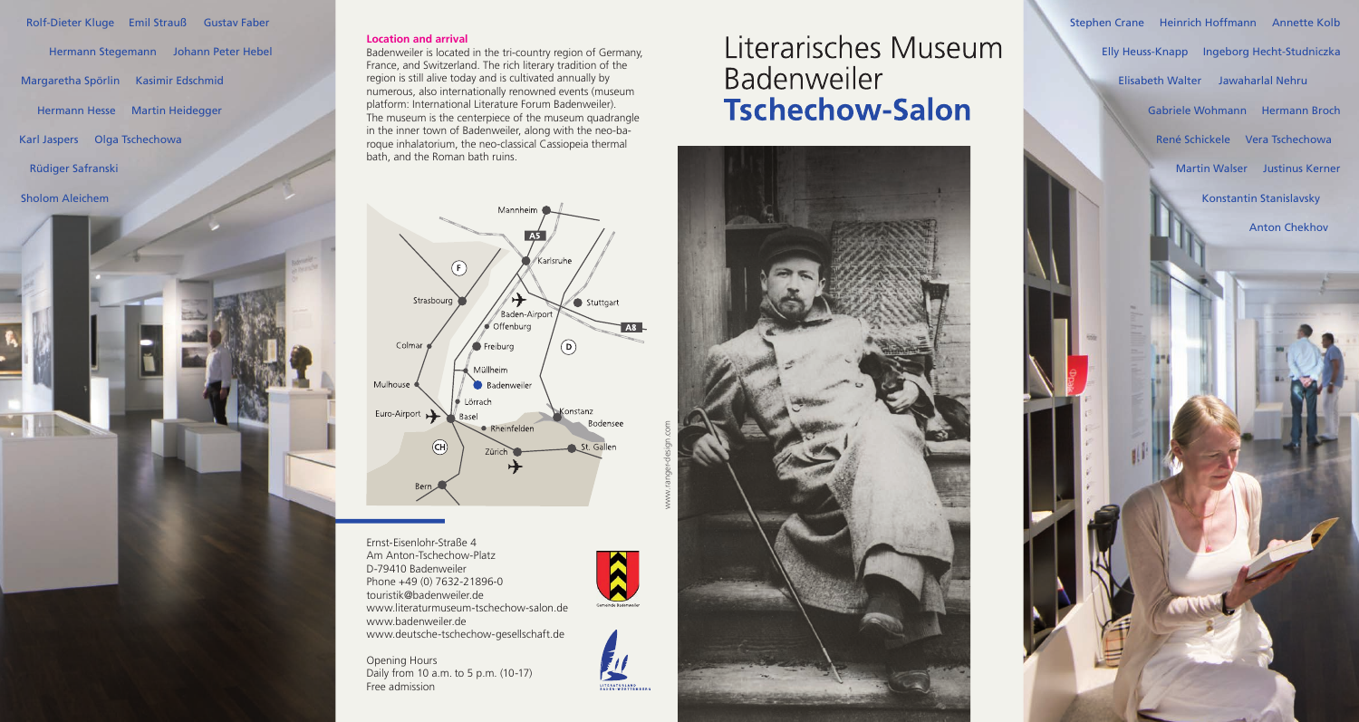Ernst-Eisenlohr-Straße 4 Am Anton-Tschechow-Platz D-79410 Badenweiler Phone +49 (0) 7632-21896-0 touristik@badenweiler.de www.literaturmuseum-tschechow-salon.de www.badenweiler.de www.deutsche-tschechow-gesellschaft.de

Opening Hours Daily from 10 a.m. to 5 p.m. (10-17) Free admission

#### **Location and arrival**

Rolf-Dieter Kluge Emil Strauß Gustav Faber

Hermann Stegemann Johann Peter Hebel Margaretha Spörlin Kasimir Edschmid Hermann Hesse Martin Heidegger Karl Jaspers Olga Tschechowa Rüdiger Safranski

Badenweiler is located in the tri-country region of Germany, France, and Switzerland. The rich literary tradition of the region is still alive today and is cultivated annually by numerous, also internationally renowned events (museum platform: International Literature Forum Badenweiler). The museum is the centerpiece of the museum quadrangle in the inner town of Badenweiler, along with the neo-baroque inhalatorium, the neo-classical Cassiopeia thermal bath, and the Roman bath ruins.

# Literarisches Museum Badenweiler **Tschechow-Salon**







 $\sum$ 

LITERATURLAND<br>BADEN-WÜRTTEMI

Sholom Aleichem

Konstantin Stanislavsky Martin Walser Justinus Kerner Stephen Crane Heinrich Hoffmann Annette Kolb Elly Heuss-Knapp Ingeborg Hecht-Studniczka René Schickele Vera Tschechowa Gabriele Wohmann Hermann Broch Elisabeth Walter Jawaharlal Nehru

Anton Chekhov